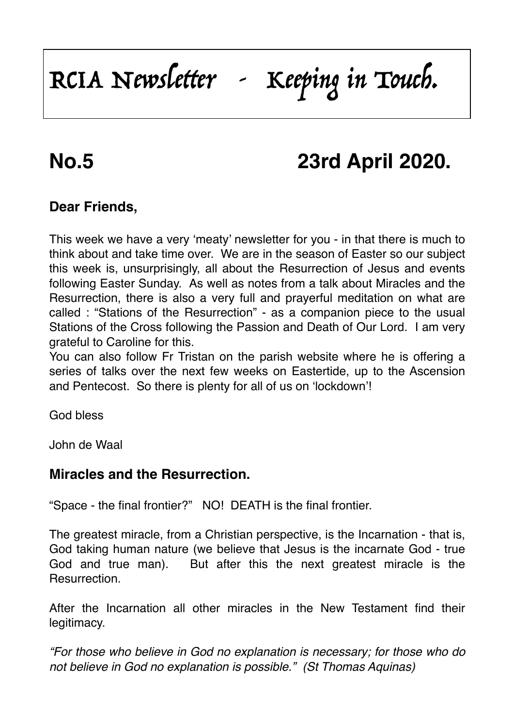# RCIA Newsletter - Keeping in Touch.

## **No.5 23rd April 2020.**

### **Dear Friends,**

This week we have a very 'meaty' newsletter for you - in that there is much to think about and take time over. We are in the season of Easter so our subject this week is, unsurprisingly, all about the Resurrection of Jesus and events following Easter Sunday. As well as notes from a talk about Miracles and the Resurrection, there is also a very full and prayerful meditation on what are called : "Stations of the Resurrection" - as a companion piece to the usual Stations of the Cross following the Passion and Death of Our Lord. I am very grateful to Caroline for this.

You can also follow Fr Tristan on the parish website where he is offering a series of talks over the next few weeks on Eastertide, up to the Ascension and Pentecost. So there is plenty for all of us on 'lockdown'!

God bless

John de Waal

#### **Miracles and the Resurrection.**

"Space - the final frontier?" NO! DEATH is the final frontier.

The greatest miracle, from a Christian perspective, is the Incarnation - that is, God taking human nature (we believe that Jesus is the incarnate God - true God and true man). But after this the next greatest miracle is the Resurrection.

After the Incarnation all other miracles in the New Testament find their legitimacy.

*"For those who believe in God no explanation is necessary; for those who do not believe in God no explanation is possible." (St Thomas Aquinas)*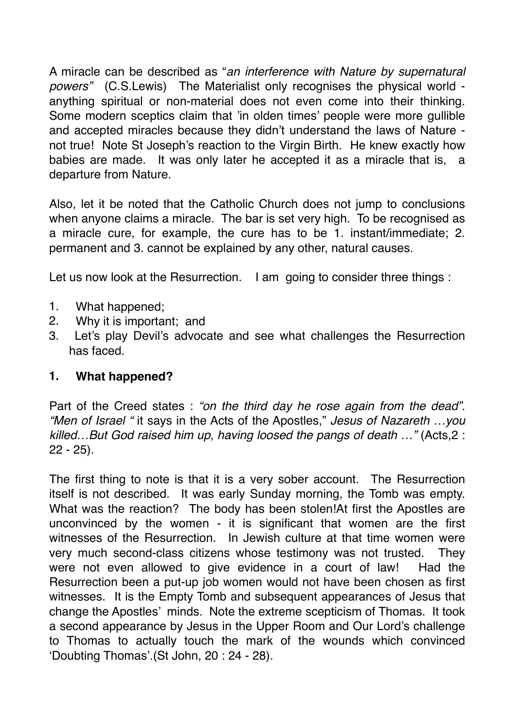A miracle can be described as "*an interference with Nature by supernatural powers"* (C.S.Lewis) The Materialist only recognises the physical world anything spiritual or non-material does not even come into their thinking. Some modern sceptics claim that 'in olden times' people were more gullible and accepted miracles because they didn't understand the laws of Nature not true! Note St Joseph's reaction to the Virgin Birth. He knew exactly how babies are made. It was only later he accepted it as a miracle that is, a departure from Nature.

Also, let it be noted that the Catholic Church does not jump to conclusions when anyone claims a miracle. The bar is set very high. To be recognised as a miracle cure, for example, the cure has to be 1. instant/immediate; 2. permanent and 3. cannot be explained by any other, natural causes.

Let us now look at the Resurrection. I am going to consider three things :

- 1. What happened;
- 2. Why it is important; and
- 3. Let's play Devil's advocate and see what challenges the Resurrection has faced.

#### **1. What happened?**

Part of the Creed states : *"on the third day he rose again from the dead". "Men of Israel "* it says in the Acts of the Apostles," *Jesus of Nazareth …you killed…But God raised him up, having loosed the pangs of death …"* (Acts,2 : 22 - 25).

The first thing to note is that it is a very sober account. The Resurrection itself is not described. It was early Sunday morning, the Tomb was empty. What was the reaction? The body has been stolen!At first the Apostles are unconvinced by the women - it is significant that women are the first witnesses of the Resurrection. In Jewish culture at that time women were very much second-class citizens whose testimony was not trusted. They were not even allowed to give evidence in a court of law! Had the Resurrection been a put-up job women would not have been chosen as first witnesses. It is the Empty Tomb and subsequent appearances of Jesus that change the Apostles' minds. Note the extreme scepticism of Thomas. It took a second appearance by Jesus in the Upper Room and Our Lord's challenge to Thomas to actually touch the mark of the wounds which convinced 'Doubting Thomas'.(St John, 20 : 24 - 28).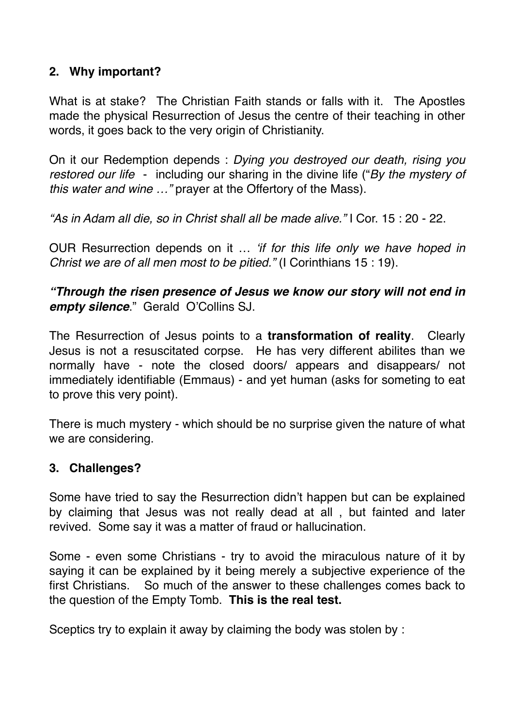#### **2. Why important?**

What is at stake? The Christian Faith stands or falls with it. The Apostles made the physical Resurrection of Jesus the centre of their teaching in other words, it goes back to the very origin of Christianity.

On it our Redemption depends : *Dying you destroyed our death, rising you restored our life* - including our sharing in the divine life ("*By the mystery of this water and wine …"* prayer at the Offertory of the Mass).

*"As in Adam all die, so in Christ shall all be made alive."* I Cor. 15 : 20 - 22.

OUR Resurrection depends on it … *'if for this life only we have hoped in Christ we are of all men most to be pitied."* (I Corinthians 15 : 19).

*"Through the risen presence of Jesus we know our story will not end in empty silence*." Gerald O'Collins SJ.

The Resurrection of Jesus points to a **transformation of reality**. Clearly Jesus is not a resuscitated corpse. He has very different abilites than we normally have - note the closed doors/ appears and disappears/ not immediately identifiable (Emmaus) - and yet human (asks for someting to eat to prove this very point).

There is much mystery - which should be no surprise given the nature of what we are considering.

#### **3. Challenges?**

Some have tried to say the Resurrection didn't happen but can be explained by claiming that Jesus was not really dead at all , but fainted and later revived. Some say it was a matter of fraud or hallucination.

Some - even some Christians - try to avoid the miraculous nature of it by saying it can be explained by it being merely a subjective experience of the first Christians. So much of the answer to these challenges comes back to the question of the Empty Tomb. **This is the real test.**

Sceptics try to explain it away by claiming the body was stolen by :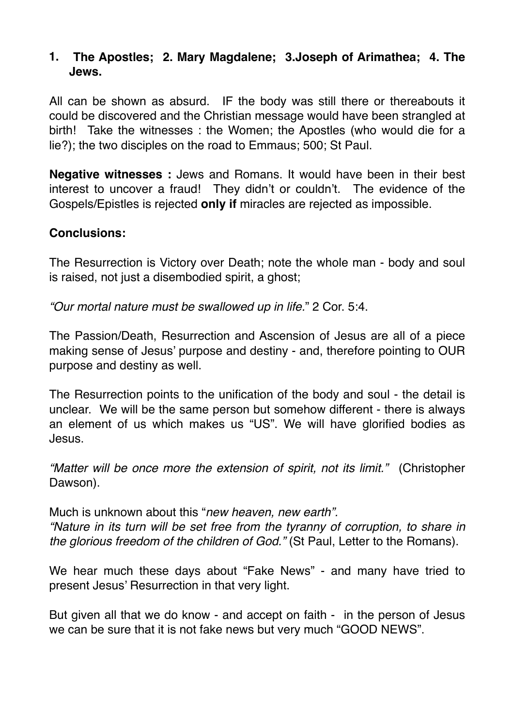#### **1. The Apostles; 2. Mary Magdalene; 3.Joseph of Arimathea; 4. The Jews.**

All can be shown as absurd. IF the body was still there or thereabouts it could be discovered and the Christian message would have been strangled at birth! Take the witnesses : the Women; the Apostles (who would die for a lie?); the two disciples on the road to Emmaus; 500; St Paul.

**Negative witnesses :** Jews and Romans. It would have been in their best interest to uncover a fraud! They didn't or couldn't. The evidence of the Gospels/Epistles is rejected **only if** miracles are rejected as impossible.

#### **Conclusions:**

The Resurrection is Victory over Death; note the whole man - body and soul is raised, not just a disembodied spirit, a ghost;

*"Our mortal nature must be swallowed up in life.*" 2 Cor. 5:4.

The Passion/Death, Resurrection and Ascension of Jesus are all of a piece making sense of Jesus' purpose and destiny - and, therefore pointing to OUR purpose and destiny as well.

The Resurrection points to the unification of the body and soul - the detail is unclear. We will be the same person but somehow different - there is always an element of us which makes us "US". We will have glorified bodies as Jesus.

*"Matter will be once more the extension of spirit, not its limit."* (Christopher Dawson).

Much is unknown about this "*new heaven, new earth". "Nature in its turn will be set free from the tyranny of corruption, to share in the glorious freedom of the children of God."* (St Paul, Letter to the Romans).

We hear much these days about "Fake News" - and many have tried to present Jesus' Resurrection in that very light.

But given all that we do know - and accept on faith - in the person of Jesus we can be sure that it is not fake news but very much "GOOD NEWS".